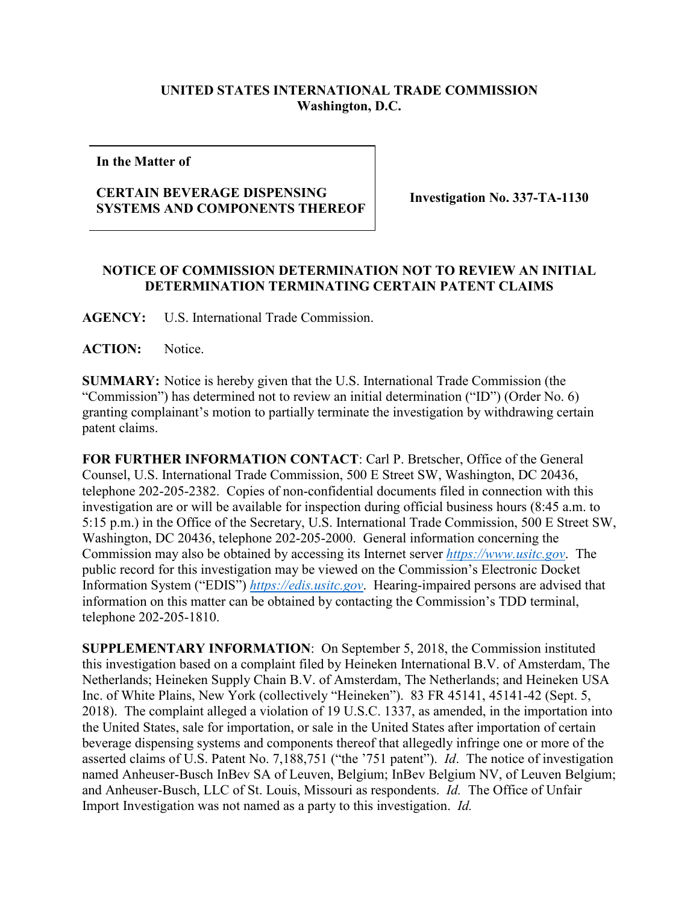## **UNITED STATES INTERNATIONAL TRADE COMMISSION Washington, D.C.**

**In the Matter of**

## **CERTAIN BEVERAGE DISPENSING SYSTEMS AND COMPONENTS THEREOF Investigation No. 337-TA-1130**

## **NOTICE OF COMMISSION DETERMINATION NOT TO REVIEW AN INITIAL DETERMINATION TERMINATING CERTAIN PATENT CLAIMS**

**AGENCY:** U.S. International Trade Commission.

**ACTION:** Notice.

**SUMMARY:** Notice is hereby given that the U.S. International Trade Commission (the "Commission") has determined not to review an initial determination ("ID") (Order No. 6) granting complainant's motion to partially terminate the investigation by withdrawing certain patent claims.

**FOR FURTHER INFORMATION CONTACT**: Carl P. Bretscher, Office of the General Counsel, U.S. International Trade Commission, 500 E Street SW, Washington, DC 20436, telephone 202-205-2382. Copies of non-confidential documents filed in connection with this investigation are or will be available for inspection during official business hours (8:45 a.m. to 5:15 p.m.) in the Office of the Secretary, U.S. International Trade Commission, 500 E Street SW, Washington, DC 20436, telephone 202-205-2000. General information concerning the Commission may also be obtained by accessing its Internet server *[https://www.usitc.gov](https://www.usitc.gov/)*. The public record for this investigation may be viewed on the Commission's Electronic Docket Information System ("EDIS") *[https://edis.usitc.gov](https://edis.usitc.gov/)*. Hearing-impaired persons are advised that information on this matter can be obtained by contacting the Commission's TDD terminal, telephone 202-205-1810.

**SUPPLEMENTARY INFORMATION**: On September 5, 2018, the Commission instituted this investigation based on a complaint filed by Heineken International B.V. of Amsterdam, The Netherlands; Heineken Supply Chain B.V. of Amsterdam, The Netherlands; and Heineken USA Inc. of White Plains, New York (collectively "Heineken"). 83 FR 45141, 45141-42 (Sept. 5, 2018). The complaint alleged a violation of 19 U.S.C. 1337, as amended, in the importation into the United States, sale for importation, or sale in the United States after importation of certain beverage dispensing systems and components thereof that allegedly infringe one or more of the asserted claims of U.S. Patent No. 7,188,751 ("the '751 patent"). *Id*. The notice of investigation named Anheuser-Busch InBev SA of Leuven, Belgium; InBev Belgium NV, of Leuven Belgium; and Anheuser-Busch, LLC of St. Louis, Missouri as respondents. *Id.* The Office of Unfair Import Investigation was not named as a party to this investigation. *Id.*